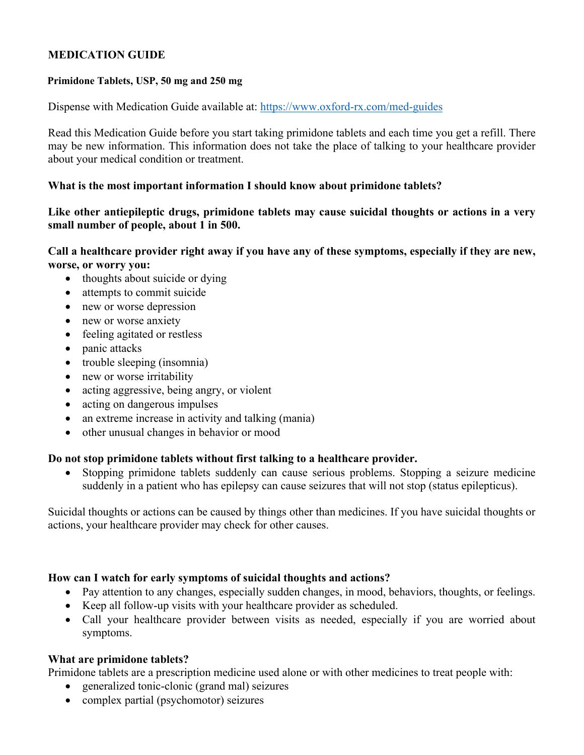## **MEDICATION GUIDE**

#### **Primidone Tablets, USP, 50 mg and 250 mg**

Dispense with Medication Guide available at: https://www.oxford-rx.com/med-guides

Read this Medication Guide before you start taking primidone tablets and each time you get a refill. There may be new information. This information does not take the place of talking to your healthcare provider about your medical condition or treatment.

#### **What is the most important information I should know about primidone tablets?**

**Like other antiepileptic drugs, primidone tablets may cause suicidal thoughts or actions in a very small number of people, about 1 in 500.** 

**Call a healthcare provider right away if you have any of these symptoms, especially if they are new, worse, or worry you:** 

- thoughts about suicide or dying
- attempts to commit suicide
- new or worse depression
- new or worse anxiety
- feeling agitated or restless
- panic attacks
- trouble sleeping (insomnia)
- new or worse irritability
- acting aggressive, being angry, or violent
- acting on dangerous impulses
- an extreme increase in activity and talking (mania)
- other unusual changes in behavior or mood

## **Do not stop primidone tablets without first talking to a healthcare provider.**

 Stopping primidone tablets suddenly can cause serious problems. Stopping a seizure medicine suddenly in a patient who has epilepsy can cause seizures that will not stop (status epilepticus).

Suicidal thoughts or actions can be caused by things other than medicines. If you have suicidal thoughts or actions, your healthcare provider may check for other causes.

#### **How can I watch for early symptoms of suicidal thoughts and actions?**

- Pay attention to any changes, especially sudden changes, in mood, behaviors, thoughts, or feelings.
- Keep all follow-up visits with your healthcare provider as scheduled.
- Call your healthcare provider between visits as needed, especially if you are worried about symptoms.

## **What are primidone tablets?**

Primidone tablets are a prescription medicine used alone or with other medicines to treat people with:

- generalized tonic-clonic (grand mal) seizures
- complex partial (psychomotor) seizures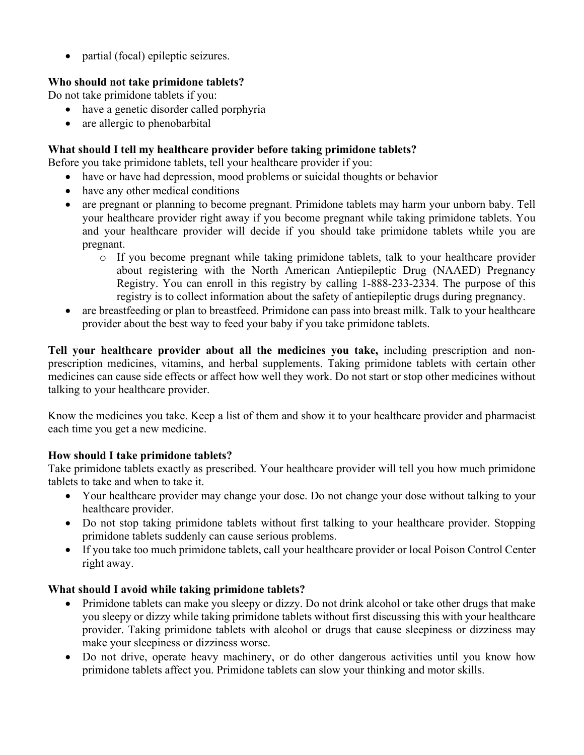• partial (focal) epileptic seizures.

# **Who should not take primidone tablets?**

Do not take primidone tablets if you:

- have a genetic disorder called porphyria
- are allergic to phenobarbital

## **What should I tell my healthcare provider before taking primidone tablets?**

Before you take primidone tablets, tell your healthcare provider if you:

- have or have had depression, mood problems or suicidal thoughts or behavior
- have any other medical conditions
- are pregnant or planning to become pregnant. Primidone tablets may harm your unborn baby. Tell your healthcare provider right away if you become pregnant while taking primidone tablets. You and your healthcare provider will decide if you should take primidone tablets while you are pregnant.
	- o If you become pregnant while taking primidone tablets, talk to your healthcare provider about registering with the North American Antiepileptic Drug (NAAED) Pregnancy Registry. You can enroll in this registry by calling 1-888-233-2334. The purpose of this registry is to collect information about the safety of antiepileptic drugs during pregnancy.
- are breastfeeding or plan to breastfeed. Primidone can pass into breast milk. Talk to your healthcare provider about the best way to feed your baby if you take primidone tablets.

**Tell your healthcare provider about all the medicines you take,** including prescription and nonprescription medicines, vitamins, and herbal supplements. Taking primidone tablets with certain other medicines can cause side effects or affect how well they work. Do not start or stop other medicines without talking to your healthcare provider.

Know the medicines you take. Keep a list of them and show it to your healthcare provider and pharmacist each time you get a new medicine.

## **How should I take primidone tablets?**

Take primidone tablets exactly as prescribed. Your healthcare provider will tell you how much primidone tablets to take and when to take it.

- Your healthcare provider may change your dose. Do not change your dose without talking to your healthcare provider.
- Do not stop taking primidone tablets without first talking to your healthcare provider. Stopping primidone tablets suddenly can cause serious problems.
- If you take too much primidone tablets, call your healthcare provider or local Poison Control Center right away.

## **What should I avoid while taking primidone tablets?**

- Primidone tablets can make you sleepy or dizzy. Do not drink alcohol or take other drugs that make you sleepy or dizzy while taking primidone tablets without first discussing this with your healthcare provider. Taking primidone tablets with alcohol or drugs that cause sleepiness or dizziness may make your sleepiness or dizziness worse.
- Do not drive, operate heavy machinery, or do other dangerous activities until you know how primidone tablets affect you. Primidone tablets can slow your thinking and motor skills.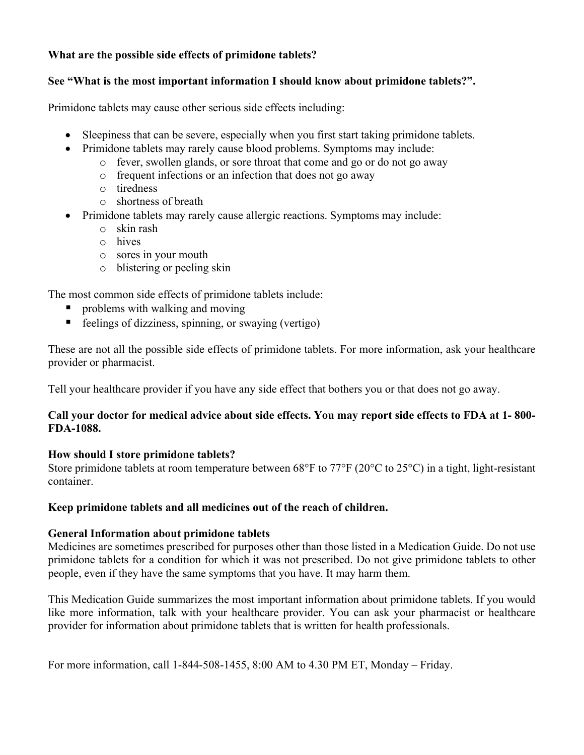# **What are the possible side effects of primidone tablets?**

## **See "What is the most important information I should know about primidone tablets?".**

Primidone tablets may cause other serious side effects including:

- Sleepiness that can be severe, especially when you first start taking primidone tablets.
- Primidone tablets may rarely cause blood problems. Symptoms may include:
	- o fever, swollen glands, or sore throat that come and go or do not go away
	- o frequent infections or an infection that does not go away
	- o tiredness
	- o shortness of breath
- Primidone tablets may rarely cause allergic reactions. Symptoms may include:
	- o skin rash
	- o hives
	- o sores in your mouth
	- o blistering or peeling skin

The most common side effects of primidone tablets include:

- problems with walking and moving
- $\blacksquare$  feelings of dizziness, spinning, or swaying (vertigo)

These are not all the possible side effects of primidone tablets. For more information, ask your healthcare provider or pharmacist.

Tell your healthcare provider if you have any side effect that bothers you or that does not go away.

## **Call your doctor for medical advice about side effects. You may report side effects to FDA at 1- 800- FDA-1088.**

## **How should I store primidone tablets?**

Store primidone tablets at room temperature between 68°F to 77°F (20°C to 25°C) in a tight, light-resistant container.

## **Keep primidone tablets and all medicines out of the reach of children.**

## **General Information about primidone tablets**

Medicines are sometimes prescribed for purposes other than those listed in a Medication Guide. Do not use primidone tablets for a condition for which it was not prescribed. Do not give primidone tablets to other people, even if they have the same symptoms that you have. It may harm them.

This Medication Guide summarizes the most important information about primidone tablets. If you would like more information, talk with your healthcare provider. You can ask your pharmacist or healthcare provider for information about primidone tablets that is written for health professionals.

For more information, call 1-844-508-1455, 8:00 AM to 4.30 PM ET, Monday – Friday.